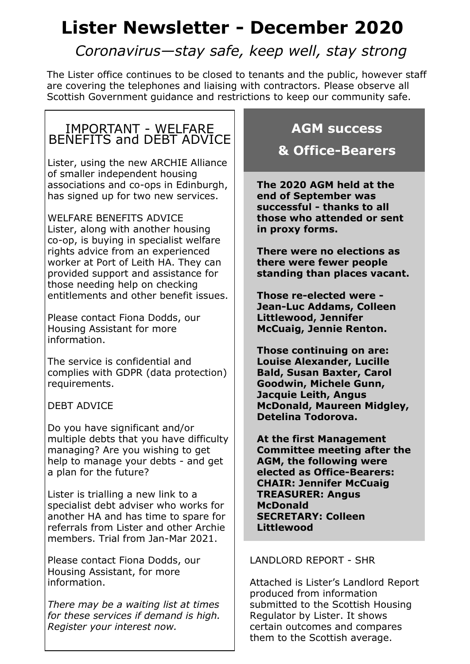# **Lister Newsletter - December 2020**

*Coronavirus—stay safe, keep well, stay strong*

The Lister office continues to be closed to tenants and the public, however staff are covering the telephones and liaising with contractors. Please observe all Scottish Government guidance and restrictions to keep our community safe.

## IMPORTANT - WELFARE BENEFITS and DEBT ADVICE

Lister, using the new ARCHIE Alliance of smaller independent housing associations and co-ops in Edinburgh, has signed up for two new services.

WELFARE BENEFITS ADVICE Lister, along with another housing co-op, is buying in specialist welfare rights advice from an experienced worker at Port of Leith HA. They can provided support and assistance for those needing help on checking entitlements and other benefit issues.

Please contact Fiona Dodds, our Housing Assistant for more information.

The service is confidential and complies with GDPR (data protection) requirements.

DEBT ADVICE

Do you have significant and/or multiple debts that you have difficulty managing? Are you wishing to get help to manage your debts - and get a plan for the future?

Lister is trialling a new link to a specialist debt adviser who works for another HA and has time to spare for referrals from Lister and other Archie members. Trial from Jan-Mar 2021.

Please contact Fiona Dodds, our Housing Assistant, for more information.

*There may be a waiting list at times for these services if demand is high. Register your interest now.*

## **AGM success**

## **& Office-Bearers**

**The 2020 AGM held at the end of September was successful - thanks to all those who attended or sent in proxy forms.**

**There were no elections as there were fewer people standing than places vacant.**

**Those re-elected were - Jean-Luc Addams, Colleen Littlewood, Jennifer McCuaig, Jennie Renton.**

**Those continuing on are: Louise Alexander, Lucille Bald, Susan Baxter, Carol Goodwin, Michele Gunn, Jacquie Leith, Angus McDonald, Maureen Midgley, Detelina Todorova.**

**At the first Management Committee meeting after the AGM, the following were elected as Office-Bearers: CHAIR: Jennifer McCuaig TREASURER: Angus McDonald SECRETARY: Colleen Littlewood**

#### LANDLORD REPORT - SHR

Attached is Lister's Landlord Report produced from information submitted to the Scottish Housing Regulator by Lister. It shows certain outcomes and compares them to the Scottish average.